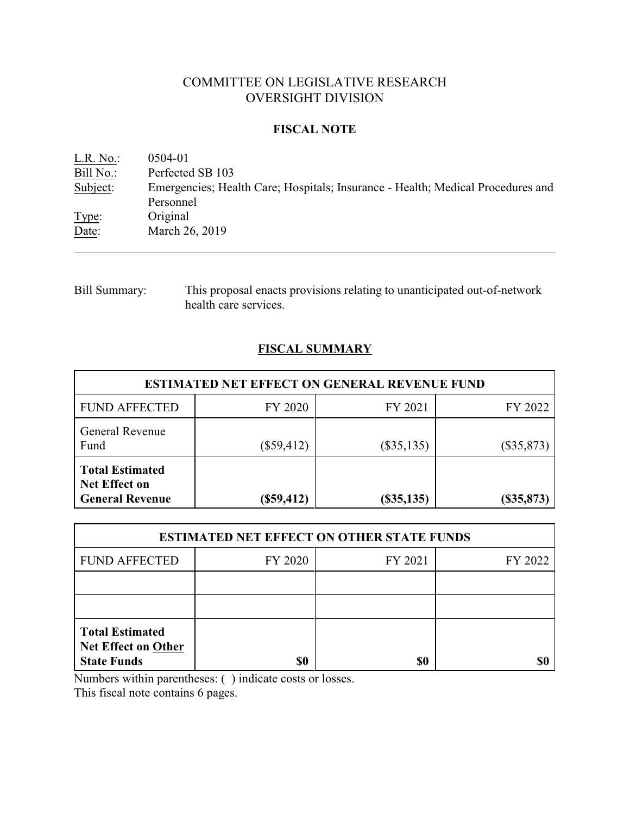# COMMITTEE ON LEGISLATIVE RESEARCH OVERSIGHT DIVISION

### **FISCAL NOTE**

<u>L.R. No.</u>: 0504-01<br>Bill No.: Perfected Perfected SB 103 Subject: Emergencies; Health Care; Hospitals; Insurance - Health; Medical Procedures and Personnel Type: Original Date: March 26, 2019

Bill Summary: This proposal enacts provisions relating to unanticipated out-of-network health care services.

# **FISCAL SUMMARY**

| <b>ESTIMATED NET EFFECT ON GENERAL REVENUE FUND</b>                      |              |                  |              |  |
|--------------------------------------------------------------------------|--------------|------------------|--------------|--|
| <b>FUND AFFECTED</b>                                                     | FY 2020      | FY 2021          | FY 2022      |  |
| General Revenue<br>Fund                                                  | $(\$59,412)$ | $(\$35,135)$     | $(\$35,873)$ |  |
| <b>Total Estimated</b><br><b>Net Effect on</b><br><b>General Revenue</b> | $(\$59,412)$ | $($ \$35,135 $)$ | $(\$35,873)$ |  |

| <b>ESTIMATED NET EFFECT ON OTHER STATE FUNDS</b>                           |         |         |         |  |
|----------------------------------------------------------------------------|---------|---------|---------|--|
| <b>FUND AFFECTED</b>                                                       | FY 2020 | FY 2021 | FY 2022 |  |
|                                                                            |         |         |         |  |
|                                                                            |         |         |         |  |
| <b>Total Estimated</b><br><b>Net Effect on Other</b><br><b>State Funds</b> | \$0     | \$0     |         |  |

Numbers within parentheses: ( ) indicate costs or losses.

This fiscal note contains 6 pages.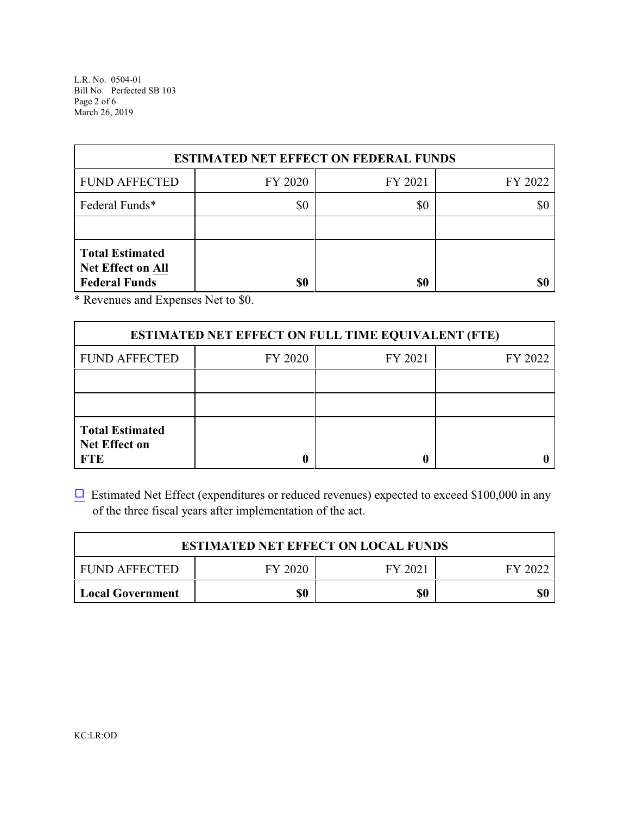L.R. No. 0504-01 Bill No. Perfected SB 103 Page 2 of 6 March 26, 2019

| <b>ESTIMATED NET EFFECT ON FEDERAL FUNDS</b>                               |         |         |         |  |
|----------------------------------------------------------------------------|---------|---------|---------|--|
| <b>FUND AFFECTED</b>                                                       | FY 2020 | FY 2021 | FY 2022 |  |
| Federal Funds*                                                             | \$0     | \$0     | \$0     |  |
|                                                                            |         |         |         |  |
| <b>Total Estimated</b><br><b>Net Effect on All</b><br><b>Federal Funds</b> | \$0     | \$0     |         |  |

\* Revenues and Expenses Net to \$0.

| <b>ESTIMATED NET EFFECT ON FULL TIME EQUIVALENT (FTE)</b>    |         |         |         |  |
|--------------------------------------------------------------|---------|---------|---------|--|
| <b>FUND AFFECTED</b>                                         | FY 2020 | FY 2021 | FY 2022 |  |
|                                                              |         |         |         |  |
|                                                              |         |         |         |  |
| <b>Total Estimated</b><br><b>Net Effect on</b><br><b>FTE</b> |         |         |         |  |

 $\Box$  Estimated Net Effect (expenditures or reduced revenues) expected to exceed \$100,000 in any of the three fiscal years after implementation of the act.

| <b>ESTIMATED NET EFFECT ON LOCAL FUNDS</b> |         |         |         |  |
|--------------------------------------------|---------|---------|---------|--|
| I FUND AFFECTED                            | FY 2020 | FY 2021 | FY 2022 |  |
| Local Government                           | \$0     | \$0     |         |  |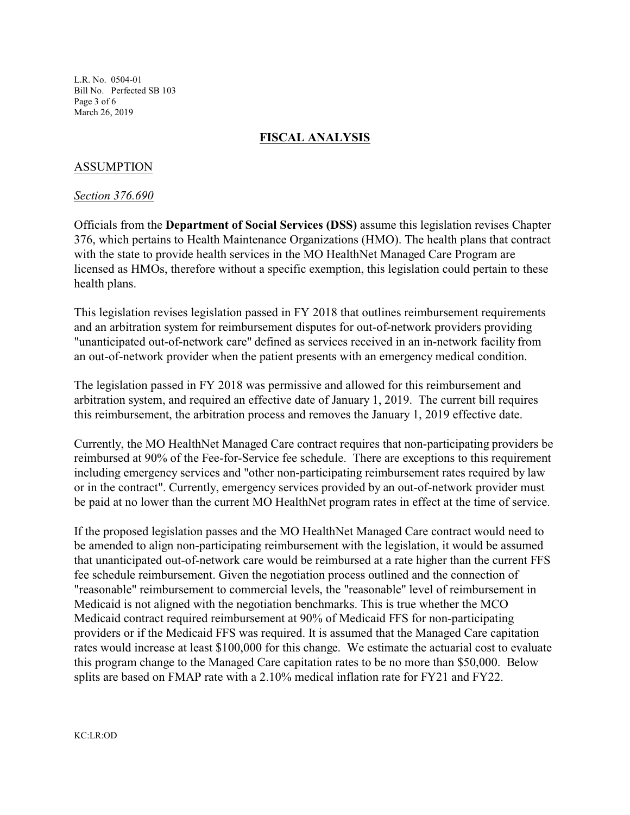L.R. No. 0504-01 Bill No. Perfected SB 103 Page 3 of 6 March 26, 2019

## **FISCAL ANALYSIS**

## ASSUMPTION

### *Section 376.690*

Officials from the **Department of Social Services (DSS)** assume this legislation revises Chapter 376, which pertains to Health Maintenance Organizations (HMO). The health plans that contract with the state to provide health services in the MO HealthNet Managed Care Program are licensed as HMOs, therefore without a specific exemption, this legislation could pertain to these health plans.

This legislation revises legislation passed in FY 2018 that outlines reimbursement requirements and an arbitration system for reimbursement disputes for out-of-network providers providing "unanticipated out-of-network care" defined as services received in an in-network facility from an out-of-network provider when the patient presents with an emergency medical condition.

The legislation passed in FY 2018 was permissive and allowed for this reimbursement and arbitration system, and required an effective date of January 1, 2019. The current bill requires this reimbursement, the arbitration process and removes the January 1, 2019 effective date.

Currently, the MO HealthNet Managed Care contract requires that non-participating providers be reimbursed at 90% of the Fee-for-Service fee schedule. There are exceptions to this requirement including emergency services and "other non-participating reimbursement rates required by law or in the contract". Currently, emergency services provided by an out-of-network provider must be paid at no lower than the current MO HealthNet program rates in effect at the time of service.

If the proposed legislation passes and the MO HealthNet Managed Care contract would need to be amended to align non-participating reimbursement with the legislation, it would be assumed that unanticipated out-of-network care would be reimbursed at a rate higher than the current FFS fee schedule reimbursement. Given the negotiation process outlined and the connection of "reasonable" reimbursement to commercial levels, the "reasonable" level of reimbursement in Medicaid is not aligned with the negotiation benchmarks. This is true whether the MCO Medicaid contract required reimbursement at 90% of Medicaid FFS for non-participating providers or if the Medicaid FFS was required. It is assumed that the Managed Care capitation rates would increase at least \$100,000 for this change. We estimate the actuarial cost to evaluate this program change to the Managed Care capitation rates to be no more than \$50,000. Below splits are based on FMAP rate with a 2.10% medical inflation rate for FY21 and FY22.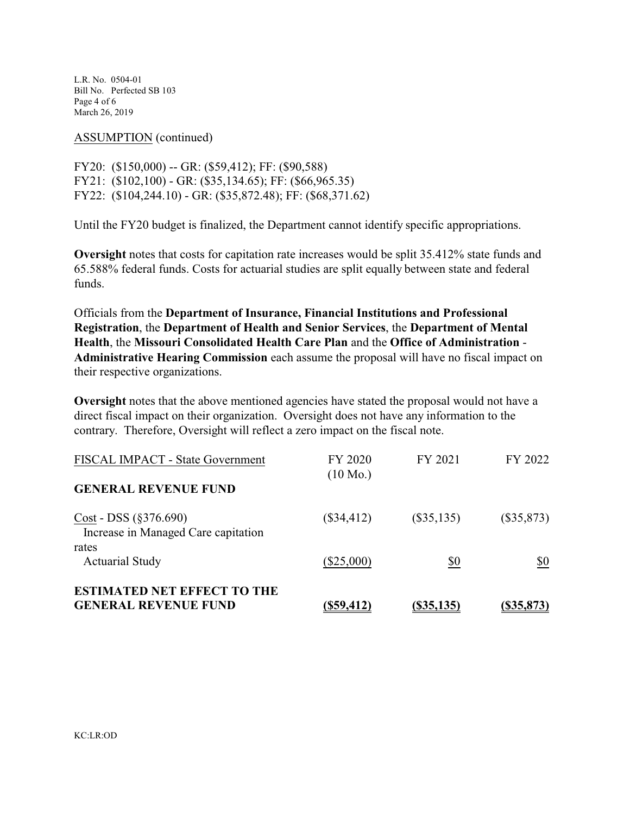L.R. No. 0504-01 Bill No. Perfected SB 103 Page 4 of 6 March 26, 2019

ASSUMPTION (continued)

FY20: (\$150,000) -- GR: (\$59,412); FF: (\$90,588) FY21: (\$102,100) - GR: (\$35,134.65); FF: (\$66,965.35) FY22: (\$104,244.10) - GR: (\$35,872.48); FF: (\$68,371.62)

Until the FY20 budget is finalized, the Department cannot identify specific appropriations.

**Oversight** notes that costs for capitation rate increases would be split 35.412% state funds and 65.588% federal funds. Costs for actuarial studies are split equally between state and federal funds.

Officials from the **Department of Insurance, Financial Institutions and Professional Registration**, the **Department of Health and Senior Services**, the **Department of Mental Health**, the **Missouri Consolidated Health Care Plan** and the **Office of Administration** - **Administrative Hearing Commission** each assume the proposal will have no fiscal impact on their respective organizations.

**Oversight** notes that the above mentioned agencies have stated the proposal would not have a direct fiscal impact on their organization. Oversight does not have any information to the contrary. Therefore, Oversight will reflect a zero impact on the fiscal note.

| <b>ESTIMATED NET EFFECT TO THE</b><br><b>GENERAL REVENUE FUND</b>      | $($ \$59,412)                 | (S35, 135)   | (S35, 873)   |
|------------------------------------------------------------------------|-------------------------------|--------------|--------------|
| rates<br><b>Actuarial Study</b>                                        | $(\$25,000)$                  | \$0          | \$0          |
| $Cost - DSS (§ 376.690)$<br>Increase in Managed Care capitation        | $(\$34,412)$                  | $(\$35,135)$ | $(\$35,873)$ |
| <b>FISCAL IMPACT - State Government</b><br><b>GENERAL REVENUE FUND</b> | FY 2020<br>$(10 \text{ Mo.})$ | FY 2021      | FY 2022      |
|                                                                        |                               |              |              |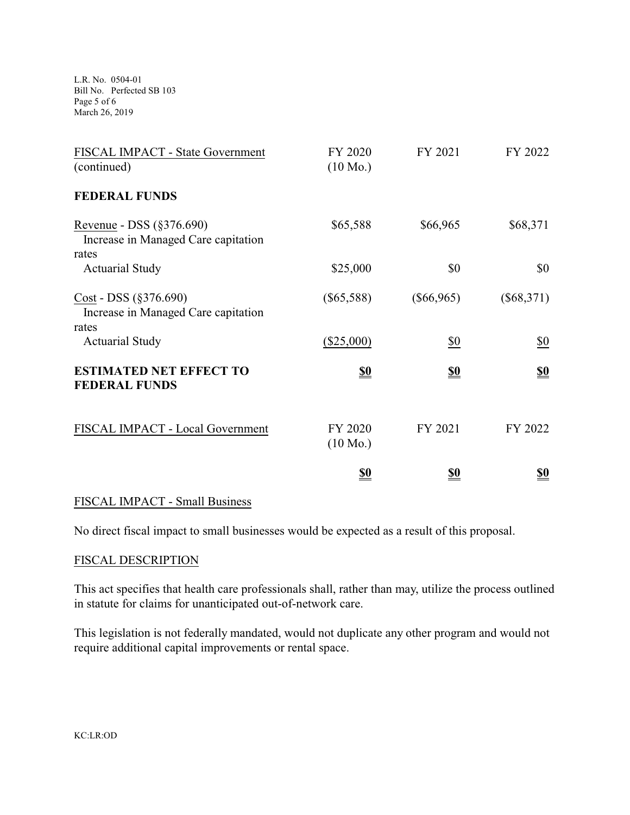L.R. No. 0504-01 Bill No. Perfected SB 103 Page 5 of 6 March 26, 2019

| FISCAL IMPACT - State Government<br>(continued)                              | FY 2020<br>$(10 \text{ Mo.})$ | FY 2021           | FY 2022           |
|------------------------------------------------------------------------------|-------------------------------|-------------------|-------------------|
| <b>FEDERAL FUNDS</b>                                                         |                               |                   |                   |
| Revenue - DSS $(\S 376.690)$<br>Increase in Managed Care capitation<br>rates | \$65,588                      | \$66,965          | \$68,371          |
| <b>Actuarial Study</b>                                                       | \$25,000                      | \$0               | \$0               |
| $Cost - DSS (§376.690)$<br>Increase in Managed Care capitation<br>rates      | $(\$65,588)$                  | $(\$66,965)$      | $(\$68,371)$      |
| <b>Actuarial Study</b>                                                       | $(\$25,000)$                  | $\underline{\$0}$ | $\underline{\$0}$ |
| <b>ESTIMATED NET EFFECT TO</b><br><b>FEDERAL FUNDS</b>                       | <u>\$0</u>                    | <u>\$0</u>        | <u>\$0</u>        |
| FISCAL IMPACT - Local Government                                             | FY 2020<br>$(10 \text{ Mo.})$ | FY 2021           | FY 2022           |
|                                                                              | <u>\$0</u>                    | <u>\$0</u>        | <u>\$0</u>        |

# FISCAL IMPACT - Small Business

No direct fiscal impact to small businesses would be expected as a result of this proposal.

#### FISCAL DESCRIPTION

This act specifies that health care professionals shall, rather than may, utilize the process outlined in statute for claims for unanticipated out-of-network care.

This legislation is not federally mandated, would not duplicate any other program and would not require additional capital improvements or rental space.